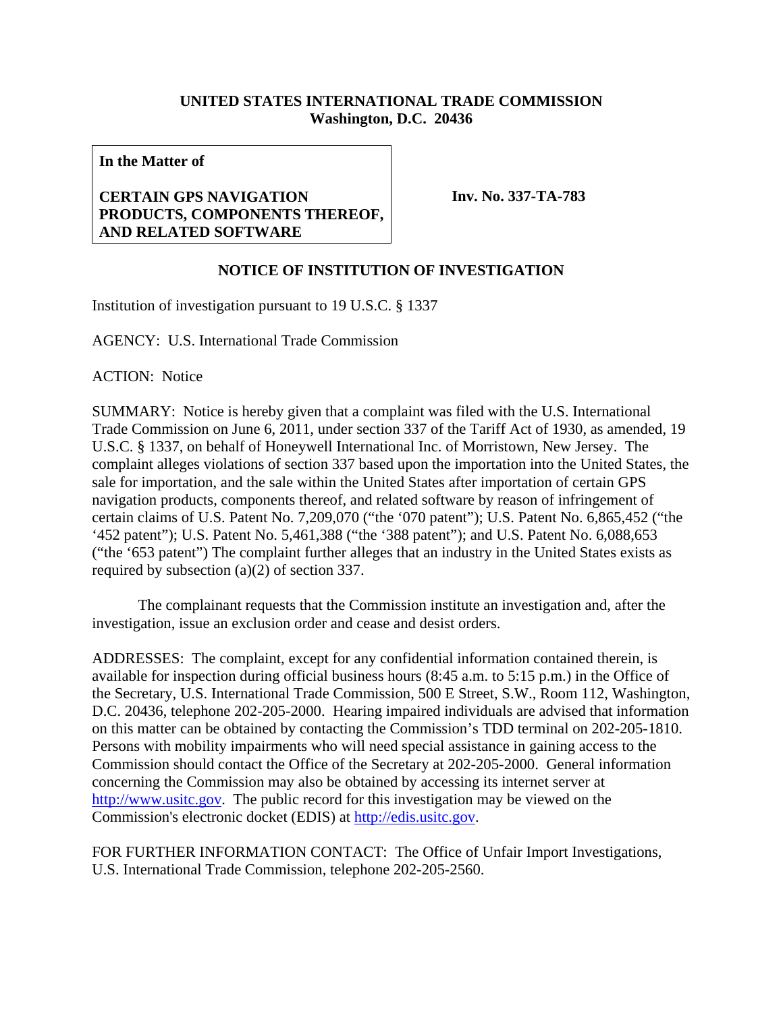## **UNITED STATES INTERNATIONAL TRADE COMMISSION Washington, D.C. 20436**

**In the Matter of** 

## **CERTAIN GPS NAVIGATION PRODUCTS, COMPONENTS THEREOF, AND RELATED SOFTWARE**

**Inv. No. 337-TA-783**

## **NOTICE OF INSTITUTION OF INVESTIGATION**

Institution of investigation pursuant to 19 U.S.C. § 1337

AGENCY: U.S. International Trade Commission

ACTION: Notice

SUMMARY: Notice is hereby given that a complaint was filed with the U.S. International Trade Commission on June 6, 2011, under section 337 of the Tariff Act of 1930, as amended, 19 U.S.C. § 1337, on behalf of Honeywell International Inc. of Morristown, New Jersey. The complaint alleges violations of section 337 based upon the importation into the United States, the sale for importation, and the sale within the United States after importation of certain GPS navigation products, components thereof, and related software by reason of infringement of certain claims of U.S. Patent No. 7,209,070 ("the '070 patent"); U.S. Patent No. 6,865,452 ("the '452 patent"); U.S. Patent No. 5,461,388 ("the '388 patent"); and U.S. Patent No. 6,088,653 ("the '653 patent") The complaint further alleges that an industry in the United States exists as required by subsection (a)(2) of section 337.

 The complainant requests that the Commission institute an investigation and, after the investigation, issue an exclusion order and cease and desist orders.

ADDRESSES: The complaint, except for any confidential information contained therein, is available for inspection during official business hours (8:45 a.m. to 5:15 p.m.) in the Office of the Secretary, U.S. International Trade Commission, 500 E Street, S.W., Room 112, Washington, D.C. 20436, telephone 202-205-2000. Hearing impaired individuals are advised that information on this matter can be obtained by contacting the Commission's TDD terminal on 202-205-1810. Persons with mobility impairments who will need special assistance in gaining access to the Commission should contact the Office of the Secretary at 202-205-2000. General information concerning the Commission may also be obtained by accessing its internet server at http://www.usitc.gov. The public record for this investigation may be viewed on the Commission's electronic docket (EDIS) at http://edis.usitc.gov.

FOR FURTHER INFORMATION CONTACT: The Office of Unfair Import Investigations, U.S. International Trade Commission, telephone 202-205-2560.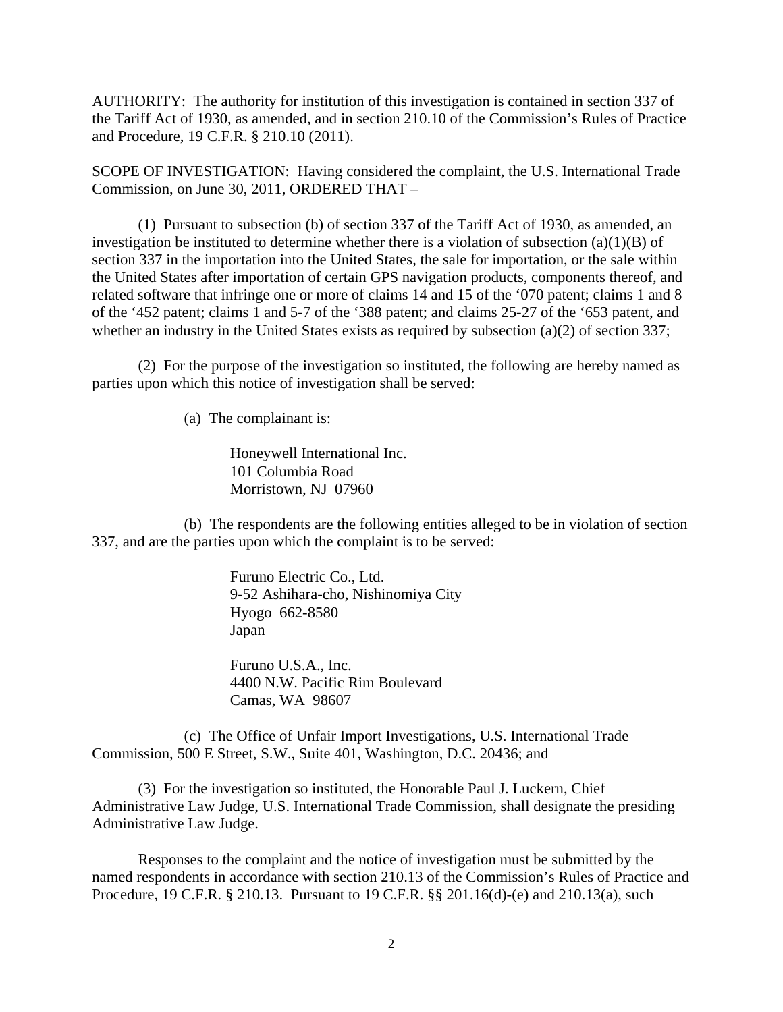AUTHORITY: The authority for institution of this investigation is contained in section 337 of the Tariff Act of 1930, as amended, and in section 210.10 of the Commission's Rules of Practice and Procedure, 19 C.F.R. § 210.10 (2011).

SCOPE OF INVESTIGATION: Having considered the complaint, the U.S. International Trade Commission, on June 30, 2011, ORDERED THAT –

 (1) Pursuant to subsection (b) of section 337 of the Tariff Act of 1930, as amended, an investigation be instituted to determine whether there is a violation of subsection  $(a)(1)(B)$  of section 337 in the importation into the United States, the sale for importation, or the sale within the United States after importation of certain GPS navigation products, components thereof, and related software that infringe one or more of claims 14 and 15 of the '070 patent; claims 1 and 8 of the '452 patent; claims 1 and 5-7 of the '388 patent; and claims 25-27 of the '653 patent, and whether an industry in the United States exists as required by subsection (a)(2) of section 337;

 (2) For the purpose of the investigation so instituted, the following are hereby named as parties upon which this notice of investigation shall be served:

(a) The complainant is:

Honeywell International Inc. 101 Columbia Road Morristown, NJ 07960

 (b) The respondents are the following entities alleged to be in violation of section 337, and are the parties upon which the complaint is to be served:

> Furuno Electric Co., Ltd. 9-52 Ashihara-cho, Nishinomiya City Hyogo 662-8580 Japan

 Furuno U.S.A., Inc. 4400 N.W. Pacific Rim Boulevard Camas, WA 98607

 (c) The Office of Unfair Import Investigations, U.S. International Trade Commission, 500 E Street, S.W., Suite 401, Washington, D.C. 20436; and

 (3) For the investigation so instituted, the Honorable Paul J. Luckern, Chief Administrative Law Judge, U.S. International Trade Commission, shall designate the presiding Administrative Law Judge.

 Responses to the complaint and the notice of investigation must be submitted by the named respondents in accordance with section 210.13 of the Commission's Rules of Practice and Procedure, 19 C.F.R. § 210.13. Pursuant to 19 C.F.R. §§ 201.16(d)-(e) and 210.13(a), such